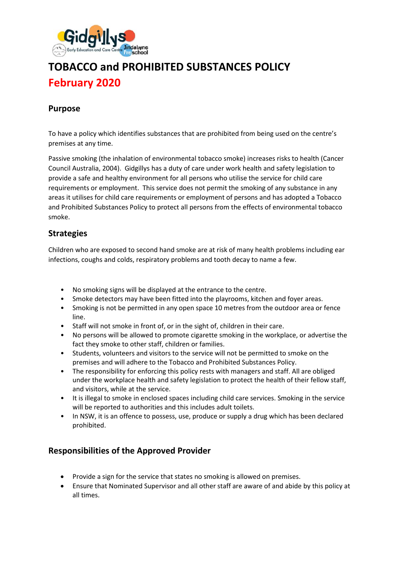

# **TOBACCO and PROHIBITED SUBSTANCES POLICY February 2020**

## **Purpose**

To have a policy which identifies substances that are prohibited from being used on the centre's premises at any time.

Passive smoking (the inhalation of environmental tobacco smoke) increases risks to health (Cancer Council Australia, 2004). Gidgillys has a duty of care under work health and safety legislation to provide a safe and healthy environment for all persons who utilise the service for child care requirements or employment. This service does not permit the smoking of any substance in any areas it utilises for child care requirements or employment of persons and has adopted a Tobacco and Prohibited Substances Policy to protect all persons from the effects of environmental tobacco smoke.

### **Strategies**

Children who are exposed to second hand smoke are at risk of many health problems including ear infections, coughs and colds, respiratory problems and tooth decay to name a few.

- No smoking signs will be displayed at the entrance to the centre.
- Smoke detectors may have been fitted into the playrooms, kitchen and foyer areas.
- Smoking is not be permitted in any open space 10 metres from the outdoor area or fence line.
- Staff will not smoke in front of, or in the sight of, children in their care.
- No persons will be allowed to promote cigarette smoking in the workplace, or advertise the fact they smoke to other staff, children or families.
- Students, volunteers and visitors to the service will not be permitted to smoke on the premises and will adhere to the Tobacco and Prohibited Substances Policy.
- The responsibility for enforcing this policy rests with managers and staff. All are obliged under the workplace health and safety legislation to protect the health of their fellow staff, and visitors, while at the service.
- It is illegal to smoke in enclosed spaces including child care services. Smoking in the service will be reported to authorities and this includes adult toilets.
- In NSW, it is an offence to possess, use, produce or supply a drug which has been declared prohibited.

## **Responsibilities of the Approved Provider**

- Provide a sign for the service that states no smoking is allowed on premises.
- Ensure that Nominated Supervisor and all other staff are aware of and abide by this policy at all times.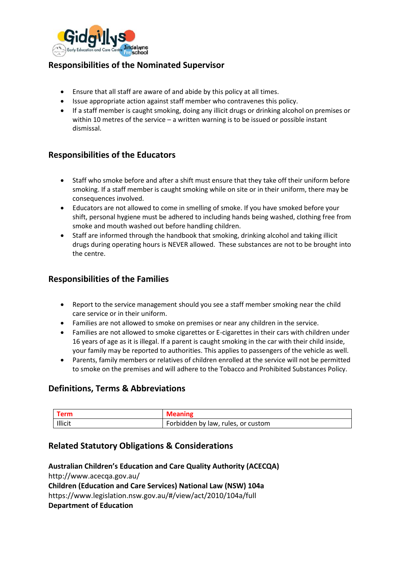

## **Responsibilities of the Nominated Supervisor**

- Ensure that all staff are aware of and abide by this policy at all times.
- Issue appropriate action against staff member who contravenes this policy.
- If a staff member is caught smoking, doing any illicit drugs or drinking alcohol on premises or within 10 metres of the service – a written warning is to be issued or possible instant dismissal.

## **Responsibilities of the Educators**

- Staff who smoke before and after a shift must ensure that they take off their uniform before smoking. If a staff member is caught smoking while on site or in their uniform, there may be consequences involved.
- Educators are not allowed to come in smelling of smoke. If you have smoked before your shift, personal hygiene must be adhered to including hands being washed, clothing free from smoke and mouth washed out before handling children.
- Staff are informed through the handbook that smoking, drinking alcohol and taking illicit drugs during operating hours is NEVER allowed. These substances are not to be brought into the centre.

### **Responsibilities of the Families**

- Report to the service management should you see a staff member smoking near the child care service or in their uniform.
- Families are not allowed to smoke on premises or near any children in the service.
- Families are not allowed to smoke cigarettes or E-cigarettes in their cars with children under 16 years of age as it is illegal. If a parent is caught smoking in the car with their child inside, your family may be reported to authorities. This applies to passengers of the vehicle as well.
- Parents, family members or relatives of children enrolled at the service will not be permitted to smoke on the premises and will adhere to the Tobacco and Prohibited Substances Policy.

## **Definitions, Terms & Abbreviations**

| Term    | <b>Meaning</b>                     |
|---------|------------------------------------|
| Illicit | Forbidden by law, rules, or custom |

## **Related Statutory Obligations & Considerations**

**Australian Children's Education and Care Quality Authority (ACECQA)** http://www.acecqa.gov.au/ **Children (Education and Care Services) National Law (NSW) 104a**  https://www.legislation.nsw.gov.au/#/view/act/2010/104a/full **Department of Education**